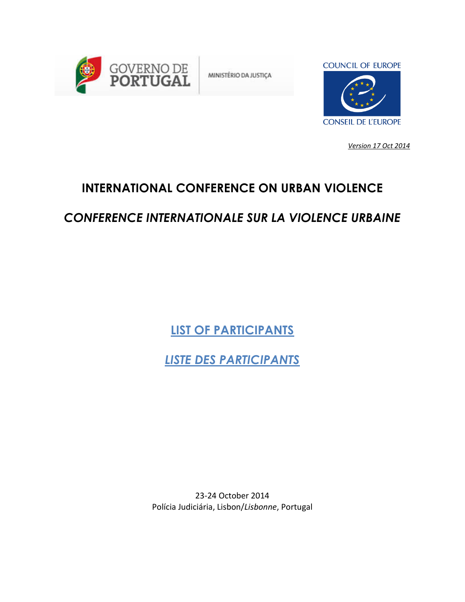

MINISTÉRIO DA JUSTIÇA



*Version 17 Oct 2014*

# **INTERNATIONAL CONFERENCE ON URBAN VIOLENCE**

# *CONFERENCE INTERNATIONALE SUR LA VIOLENCE URBAINE*

**LIST OF PARTICIPANTS**

*LISTE DES PARTICIPANTS*

23-24 October 2014 Polícia Judiciária, Lisbon/*Lisbonne*, Portugal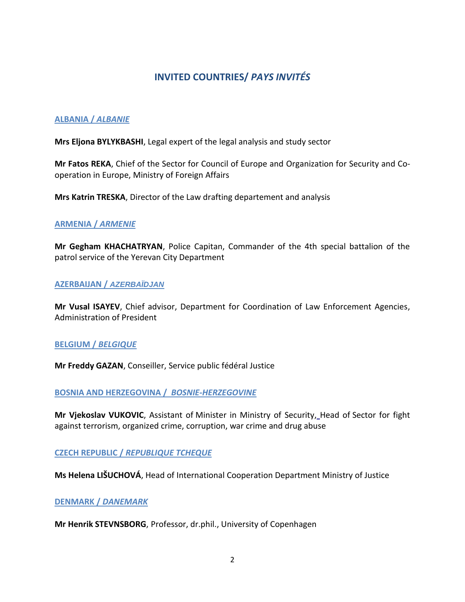## **INVITED COUNTRIES/** *PAYS INVITÉS*

### **ALBANIA /** *ALBANIE*

**Mrs Eljona BYLYKBASHI**, Legal expert of the legal analysis and study sector

**Mr Fatos REKA**, Chief of the Sector for Council of Europe and Organization for Security and Cooperation in Europe, Ministry of Foreign Affairs

**Mrs Katrin TRESKA**, Director of the Law drafting departement and analysis

#### **ARMENIA /** *ARMENIE*

**Mr Gegham KHACHATRYAN**, Police Capitan, Commander of the 4th special battalion of the patrol service of the Yerevan City Department

#### **AZERBAIJAN /** *AZERBAÏDJAN*

**Mr Vusal ISAYEV**, Chief advisor, Department for Coordination of Law Enforcement Agencies, Administration of President

#### **BELGIUM /** *BELGIQUE*

**Mr Freddy GAZAN**, Conseiller, Service public fédéral Justice

#### **BOSNIA AND HERZEGOVINA /** *BOSNIE-HERZEGOVINE*

**Mr Vjekoslav VUKOVIC**, Assistant of Minister in Ministry of Security, Head of Sector for fight against terrorism, organized crime, corruption, war crime and drug abuse

**CZECH REPUBLIC /** *REPUBLIQUE TCHEQUE*

**Ms Helena LIŠUCHOVÁ**, Head of International Cooperation Department Ministry of Justice

#### **DENMARK /** *DANEMARK*

**Mr Henrik STEVNSBORG**, Professor, dr.phil., University of Copenhagen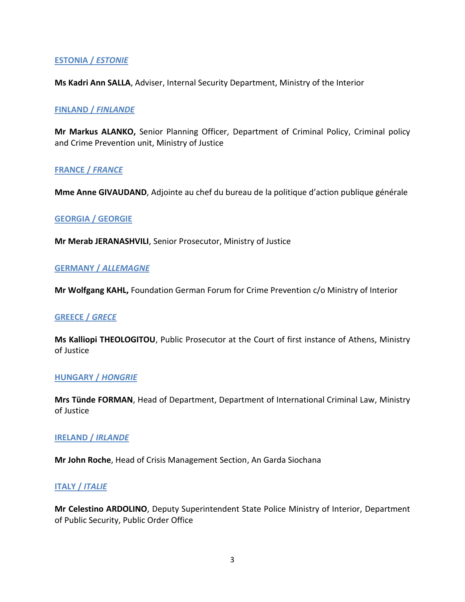#### **ESTONIA /** *ESTONIE*

**Ms Kadri Ann SALLA**, Adviser, Internal Security Department, Ministry of the Interior

#### **FINLAND /** *FINLANDE*

**Mr Markus ALANKO,** Senior Planning Officer, Department of Criminal Policy, Criminal policy and Crime Prevention unit, Ministry of Justice

#### **FRANCE /** *FRANCE*

**Mme Anne GIVAUDAND**, Adjointe au chef du bureau de la politique d'action publique générale

#### **GEORGIA / GEORGIE**

**Mr Merab JERANASHVILI**, Senior Prosecutor, Ministry of Justice

#### **GERMANY /** *ALLEMAGNE*

**Mr Wolfgang KAHL,** Foundation German Forum for Crime Prevention c/o Ministry of Interior

#### **GREECE /** *GRECE*

**Ms Kalliopi THEOLOGITOU**, Public Prosecutor at the Court of first instance of Athens, Ministry of Justice

#### **HUNGARY /** *HONGRIE*

**Mrs Tünde FORMAN**, Head of Department, Department of International Criminal Law, Ministry of Justice

#### **IRELAND /** *IRLANDE*

**Mr John Roche**, Head of Crisis Management Section, An Garda Siochana

#### **ITALY /** *ITALIE*

**Mr Celestino ARDOLINO**, Deputy Superintendent State Police Ministry of Interior, Department of Public Security, Public Order Office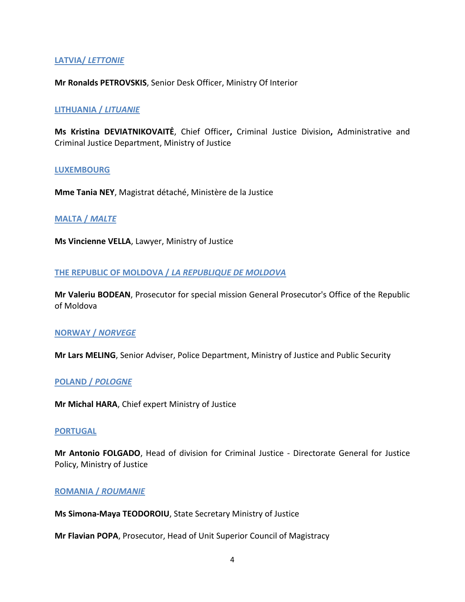#### **LATVIA/** *LETTONIE*

**Mr Ronalds PETROVSKIS**, Senior Desk Officer, Ministry Of Interior

#### **LITHUANIA /** *LITUANIE*

**Ms Kristina DEVIATNIKOVAITĖ**, Chief Officer**,** Criminal Justice Division**,** Administrative and Criminal Justice Department, Ministry of Justice

#### **LUXEMBOURG**

**Mme Tania NEY**, Magistrat détaché, Ministère de la Justice

#### **MALTA /** *MALTE*

**Ms Vincienne VELLA**, Lawyer, Ministry of Justice

#### **THE REPUBLIC OF MOLDOVA /** *LA REPUBLIQUE DE MOLDOVA*

**Mr Valeriu BODEAN**, Prosecutor for special mission General Prosecutor's Office of the Republic of Moldova

#### **NORWAY /** *NORVEGE*

**Mr Lars MELING**, Senior Adviser, Police Department, Ministry of Justice and Public Security

#### **POLAND /** *POLOGNE*

**Mr Michal HARA**, Chief expert Ministry of Justice

#### **PORTUGAL**

**Mr Antonio FOLGADO**, Head of division for Criminal Justice - Directorate General for Justice Policy, Ministry of Justice

#### **ROMANIA /** *ROUMANIE*

**Ms Simona-Maya TEODOROIU**, State Secretary Ministry of Justice

**Mr Flavian POPA**, Prosecutor, Head of Unit Superior Council of Magistracy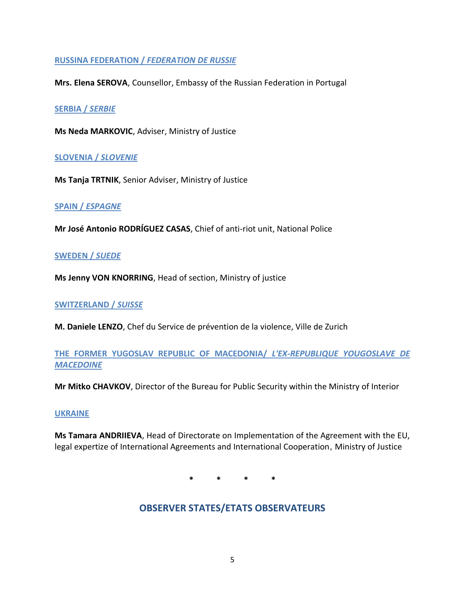#### **RUSSINA FEDERATION /** *FEDERATION DE RUSSIE*

**Mrs. Elena SEROVA**, Counsellor, Embassy of the Russian Federation in Portugal

#### **SERBIA /** *SERBIE*

**Ms Neda MARKOVIC**, Adviser, Ministry of Justice

#### **SLOVENIA /** *SLOVENIE*

**Ms Tanja TRTNIK**, Senior Adviser, Ministry of Justice

#### **SPAIN /** *ESPAGNE*

**Mr José Antonio RODRÍGUEZ CASAS**, Chief of anti-riot unit, National Police

#### **SWEDEN /** *SUEDE*

**Ms Jenny VON KNORRING**, Head of section, Ministry of justice

#### **SWITZERLAND /** *SUISSE*

**M. Daniele LENZO**, Chef du Service de prévention de la violence, Ville de Zurich

## **THE FORMER YUGOSLAV REPUBLIC OF MACEDONIA/** *L'EX-REPUBLIQUE YOUGOSLAVE DE MACEDOINE*

**Mr Mitko CHAVKOV**, Director of the Bureau for Public Security within the Ministry of Interior

#### **UKRAINE**

**Ms Tamara ANDRIIEVA**, Head of Directorate on Implementation of the Agreement with the EU, legal expertize of International Agreements and International Cooperation, Ministry of Justice

**\* \* \* \***

## **OBSERVER STATES/ETATS OBSERVATEURS**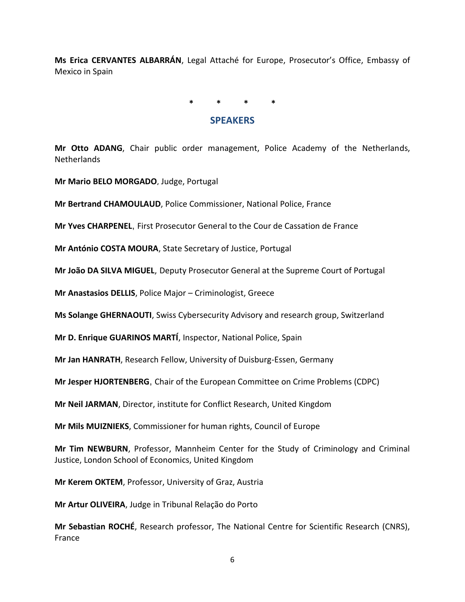**Ms Erica CERVANTES ALBARRÁN**, Legal Attaché for Europe, Prosecutor's Office, Embassy of Mexico in Spain

**\* \* \* \***

### **SPEAKERS**

**Mr Otto ADANG**, Chair public order management, Police Academy of the Netherlands, Netherlands

**Mr Mario BELO MORGADO,** Judge, Portugal

**Mr Bertrand CHAMOULAUD**, Police Commissioner, National Police, France

**Mr Yves CHARPENEL**, First Prosecutor General to the Cour de Cassation de France

**Mr António COSTA MOURA**, State Secretary of Justice, Portugal

**Mr João DA SILVA MIGUEL**, Deputy Prosecutor General at the Supreme Court of Portugal

**Mr Anastasios DELLIS**, Police Major – Criminologist, Greece

**Ms Solange GHERNAOUTI**, Swiss Cybersecurity Advisory and research group, Switzerland

**Mr D. Enrique GUARINOS MARTÍ**, Inspector, National Police, Spain

**Mr Jan HANRATH**, Research Fellow, University of Duisburg-Essen, Germany

**Mr Jesper HJORTENBERG**, Chair of the European Committee on Crime Problems (CDPC)

**Mr Neil JARMAN**, Director, institute for Conflict Research, United Kingdom

**Mr Mils MUIZNIEKS**, Commissioner for human rights, Council of Europe

**Mr Tim NEWBURN**, Professor, Mannheim Center for the Study of Criminology and Criminal Justice, London School of Economics, United Kingdom

**Mr Kerem OKTEM**, Professor, University of Graz, Austria

**Mr Artur OLIVEIRA**, Judge in Tribunal Relação do Porto

**Mr Sebastian ROCHÉ**, Research professor, The National Centre for Scientific Research (CNRS), France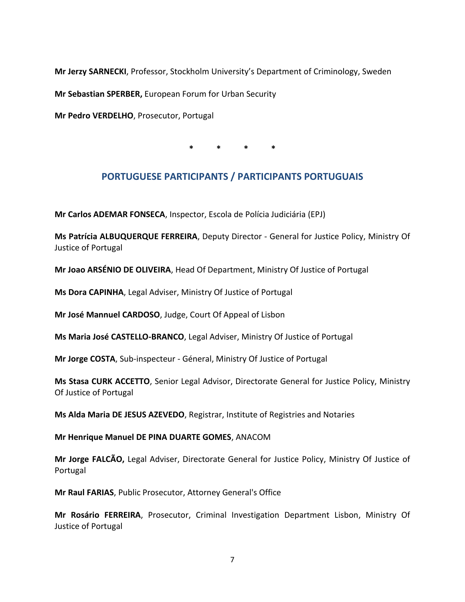**Mr Jerzy SARNECKI**, Professor, Stockholm University's Department of Criminology, Sweden

**Mr Sebastian SPERBER,** European Forum for Urban Security

**Mr Pedro VERDELHO**, Prosecutor, Portugal

**\* \* \* \***

## **PORTUGUESE PARTICIPANTS / PARTICIPANTS PORTUGUAIS**

**Mr Carlos ADEMAR FONSECA**, Inspector, Escola de Polícia Judiciária (EPJ)

**Ms Patrícia ALBUQUERQUE FERREIRA**, Deputy Director - General for Justice Policy, Ministry Of Justice of Portugal

**Mr Joao ARSÉNIO DE OLIVEIRA**, Head Of Department, Ministry Of Justice of Portugal

**Ms Dora CAPINHA**, Legal Adviser, Ministry Of Justice of Portugal

**Mr José Mannuel CARDOSO**, Judge, Court Of Appeal of Lisbon

**Ms Maria José CASTELLO-BRANCO**, Legal Adviser, Ministry Of Justice of Portugal

**Mr Jorge COSTA**, Sub-inspecteur - Géneral, Ministry Of Justice of Portugal

**Ms Stasa CURK ACCETTO**, Senior Legal Advisor, Directorate General for Justice Policy, Ministry Of Justice of Portugal

**Ms Alda Maria DE JESUS AZEVEDO**, Registrar, Institute of Registries and Notaries

**Mr Henrique Manuel DE PINA DUARTE GOMES**, ANACOM

**Mr Jorge FALCÃO,** Legal Adviser, Directorate General for Justice Policy, Ministry Of Justice of Portugal

**Mr Raul FARIAS**, Public Prosecutor, Attorney General's Office

**Mr Rosário FERREIRA**, Prosecutor, Criminal Investigation Department Lisbon, Ministry Of Justice of Portugal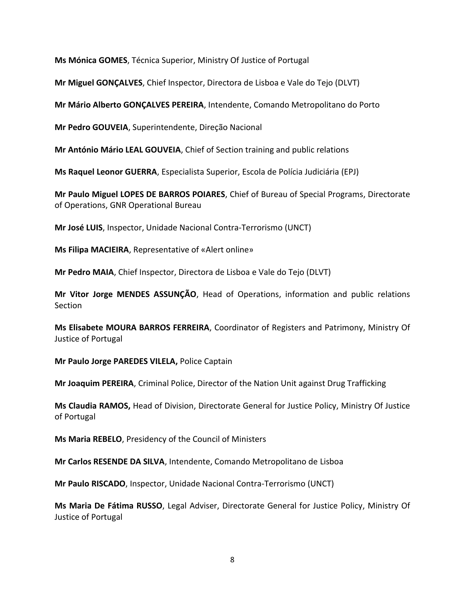**Ms Mónica GOMES**, Técnica Superior, Ministry Of Justice of Portugal

**Mr Miguel GONÇALVES**, Chief Inspector, Directora de Lisboa e Vale do Tejo (DLVT)

**Mr Mário Alberto GONÇALVES PEREIRA**, Intendente, Comando Metropolitano do Porto

**Mr Pedro GOUVEIA**, Superintendente, Direção Nacional

**Mr António Mário LEAL GOUVEIA**, Chief of Section training and public relations

**Ms Raquel Leonor GUERRA**, Especialista Superior, Escola de Polícia Judiciária (EPJ)

**Mr Paulo Miguel LOPES DE BARROS POIARES**, Chief of Bureau of Special Programs, Directorate of Operations, GNR Operational Bureau

**Mr José LUIS**, Inspector, Unidade Nacional Contra-Terrorismo (UNCT)

**Ms Filipa MACIEIRA**, Representative of «Alert online»

**Mr Pedro MAIA**, Chief Inspector, Directora de Lisboa e Vale do Tejo (DLVT)

**Mr Vitor Jorge MENDES ASSUNÇÃO**, Head of Operations, information and public relations Section

**Ms Elisabete MOURA BARROS FERREIRA**, Coordinator of Registers and Patrimony, Ministry Of Justice of Portugal

**Mr Paulo Jorge PAREDES VILELA,** Police Captain

**Mr Joaquim PEREIRA**, Criminal Police, Director of the Nation Unit against Drug Trafficking

**Ms Claudia RAMOS,** Head of Division, Directorate General for Justice Policy, Ministry Of Justice of Portugal

**Ms Maria REBELO**, Presidency of the Council of Ministers

**Mr Carlos RESENDE DA SILVA**, Intendente, Comando Metropolitano de Lisboa

**Mr Paulo RISCADO**, Inspector, Unidade Nacional Contra-Terrorismo (UNCT)

**Ms Maria De Fátima RUSSO**, Legal Adviser, Directorate General for Justice Policy, Ministry Of Justice of Portugal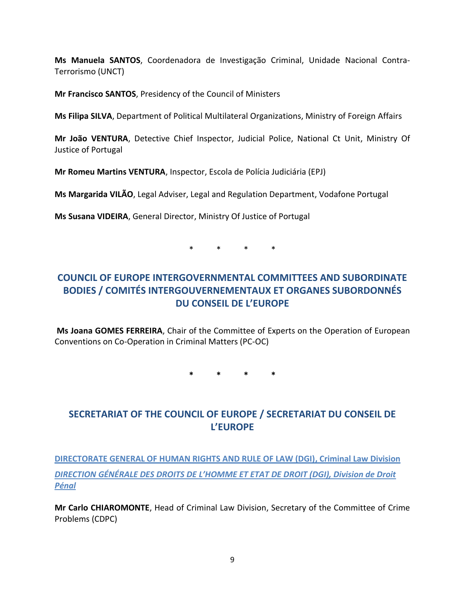**Ms Manuela SANTOS**, Coordenadora de Investigação Criminal, Unidade Nacional Contra-Terrorismo (UNCT)

**Mr Francisco SANTOS**, Presidency of the Council of Ministers

**Ms Filipa SILVA**, Department of Political Multilateral Organizations, Ministry of Foreign Affairs

**Mr João VENTURA**, Detective Chief Inspector, Judicial Police, National Ct Unit, Ministry Of Justice of Portugal

**Mr Romeu Martins VENTURA**, Inspector, Escola de Polícia Judiciária (EPJ)

**Ms Margarida VILÃO**, Legal Adviser, Legal and Regulation Department, Vodafone Portugal

**Ms Susana VIDEIRA**, General Director, Ministry Of Justice of Portugal

\* \* \* \*

# **COUNCIL OF EUROPE INTERGOVERNMENTAL COMMITTEES AND SUBORDINATE BODIES / COMITÉS INTERGOUVERNEMENTAUX ET ORGANES SUBORDONNÉS DU CONSEIL DE L'EUROPE**

**Ms Joana GOMES FERREIRA**, Chair of the Committee of Experts on the Operation of European Conventions on Co-Operation in Criminal Matters (PC-OC)

**\* \* \* \***

## **SECRETARIAT OF THE COUNCIL OF EUROPE / SECRETARIAT DU CONSEIL DE L'EUROPE**

**DIRECTORATE GENERAL OF HUMAN RIGHTS AND RULE OF LAW (DGI), Criminal Law Division** *DIRECTION GÉNÉRALE DES DROITS DE L'HOMME ET ETAT DE DROIT (DGI), Division de Droit Pénal*

**Mr Carlo CHIAROMONTE**, Head of Criminal Law Division, Secretary of the Committee of Crime Problems (CDPC)